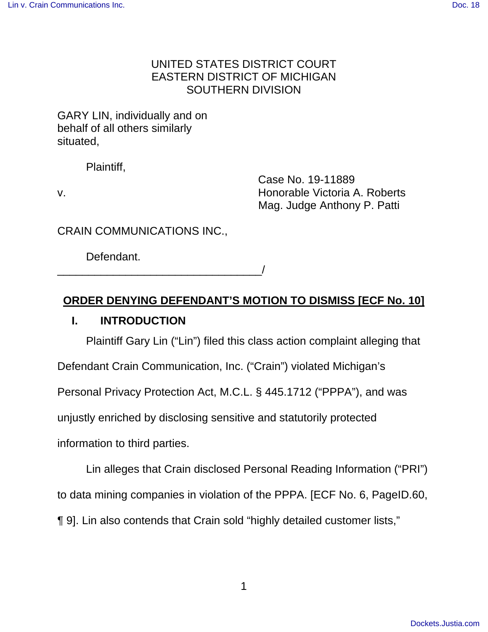# UNITED STATES DISTRICT COURT EASTERN DISTRICT OF MICHIGAN SOUTHERN DIVISION

GARY LIN, individually and on behalf of all others similarly situated,

Plaintiff,

 Case No. 19-11889 v. Honorable Victoria A. Roberts Mag. Judge Anthony P. Patti

CRAIN COMMUNICATIONS INC.,

\_\_\_\_\_\_\_\_\_\_\_\_\_\_\_\_\_\_\_\_\_\_\_\_\_\_\_\_\_\_\_\_\_/

Defendant.

# **ORDER DENYING DEFENDANT'S MOTION TO DISMISS [ECF No. 10]**

# **I. INTRODUCTION**

Plaintiff Gary Lin ("Lin") filed this class action complaint alleging that

Defendant Crain Communication, Inc. ("Crain") violated Michigan's

Personal Privacy Protection Act, M.C.L. § 445.1712 ("PPPA"), and was

unjustly enriched by disclosing sensitive and statutorily protected

information to third parties.

Lin alleges that Crain disclosed Personal Reading Information ("PRI")

to data mining companies in violation of the PPPA. [ECF No. 6, PageID.60,

¶ 9]. Lin also contends that Crain sold "highly detailed customer lists,"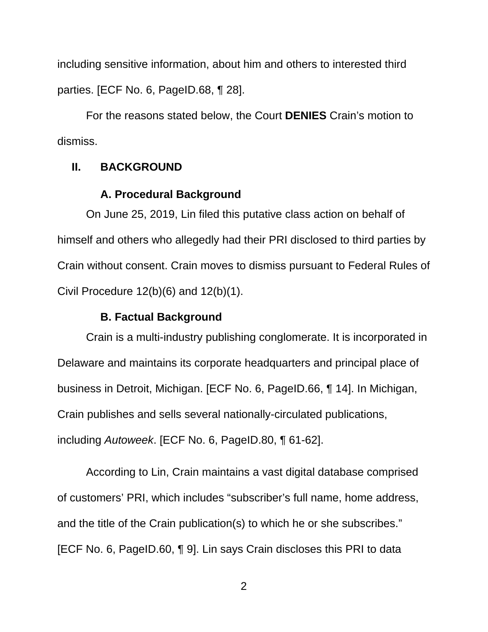including sensitive information, about him and others to interested third parties. [ECF No. 6, PageID.68, ¶ 28].

For the reasons stated below, the Court **DENIES** Crain's motion to dismiss.

## **II. BACKGROUND**

## **A. Procedural Background**

On June 25, 2019, Lin filed this putative class action on behalf of himself and others who allegedly had their PRI disclosed to third parties by Crain without consent. Crain moves to dismiss pursuant to Federal Rules of Civil Procedure  $12(b)(6)$  and  $12(b)(1)$ .

#### **B. Factual Background**

Crain is a multi-industry publishing conglomerate. It is incorporated in Delaware and maintains its corporate headquarters and principal place of business in Detroit, Michigan. [ECF No. 6, PageID.66, ¶ 14]. In Michigan, Crain publishes and sells several nationally-circulated publications, including Autoweek. [ECF No. 6, PageID.80, ¶ 61-62].

According to Lin, Crain maintains a vast digital database comprised of customers' PRI, which includes "subscriber's full name, home address, and the title of the Crain publication(s) to which he or she subscribes." [ECF No. 6, PageID.60, ¶ 9]. Lin says Crain discloses this PRI to data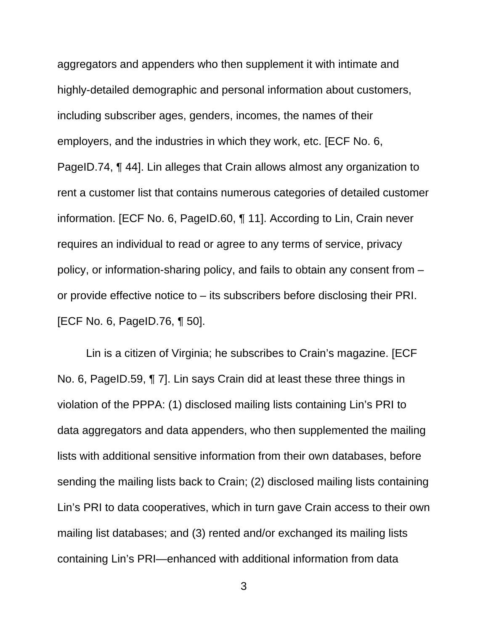aggregators and appenders who then supplement it with intimate and highly-detailed demographic and personal information about customers, including subscriber ages, genders, incomes, the names of their employers, and the industries in which they work, etc. [ECF No. 6, PageID.74, ¶ 44]. Lin alleges that Crain allows almost any organization to rent a customer list that contains numerous categories of detailed customer information. [ECF No. 6, PageID.60, ¶ 11]. According to Lin, Crain never requires an individual to read or agree to any terms of service, privacy policy, or information-sharing policy, and fails to obtain any consent from – or provide effective notice to – its subscribers before disclosing their PRI. [ECF No. 6, PageID.76, ¶ 50].

Lin is a citizen of Virginia; he subscribes to Crain's magazine. [ECF No. 6, PageID.59, ¶ 7]. Lin says Crain did at least these three things in violation of the PPPA: (1) disclosed mailing lists containing Lin's PRI to data aggregators and data appenders, who then supplemented the mailing lists with additional sensitive information from their own databases, before sending the mailing lists back to Crain; (2) disclosed mailing lists containing Lin's PRI to data cooperatives, which in turn gave Crain access to their own mailing list databases; and (3) rented and/or exchanged its mailing lists containing Lin's PRI—enhanced with additional information from data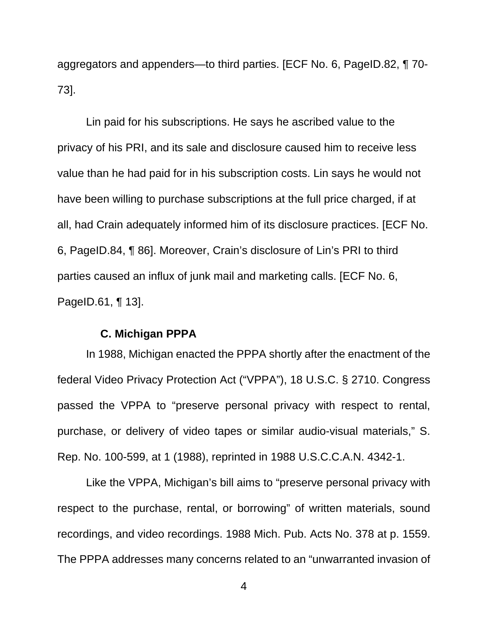aggregators and appenders—to third parties. [ECF No. 6, PageID.82, ¶ 70- 73].

Lin paid for his subscriptions. He says he ascribed value to the privacy of his PRI, and its sale and disclosure caused him to receive less value than he had paid for in his subscription costs. Lin says he would not have been willing to purchase subscriptions at the full price charged, if at all, had Crain adequately informed him of its disclosure practices. [ECF No. 6, PageID.84, ¶ 86]. Moreover, Crain's disclosure of Lin's PRI to third parties caused an influx of junk mail and marketing calls. [ECF No. 6, PageID.61, ¶ 13].

### **C. Michigan PPPA**

In 1988, Michigan enacted the PPPA shortly after the enactment of the federal Video Privacy Protection Act ("VPPA"), 18 U.S.C. § 2710. Congress passed the VPPA to "preserve personal privacy with respect to rental, purchase, or delivery of video tapes or similar audio-visual materials," S. Rep. No. 100-599, at 1 (1988), reprinted in 1988 U.S.C.C.A.N. 4342-1.

Like the VPPA, Michigan's bill aims to "preserve personal privacy with respect to the purchase, rental, or borrowing" of written materials, sound recordings, and video recordings. 1988 Mich. Pub. Acts No. 378 at p. 1559. The PPPA addresses many concerns related to an "unwarranted invasion of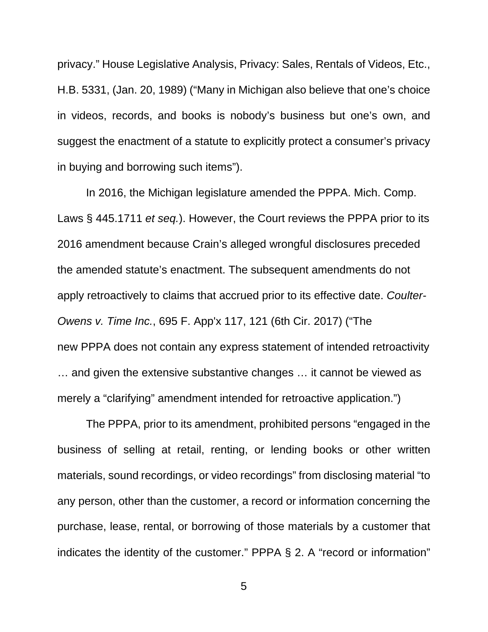privacy." House Legislative Analysis, Privacy: Sales, Rentals of Videos, Etc., H.B. 5331, (Jan. 20, 1989) ("Many in Michigan also believe that one's choice in videos, records, and books is nobody's business but one's own, and suggest the enactment of a statute to explicitly protect a consumer's privacy in buying and borrowing such items").

In 2016, the Michigan legislature amended the PPPA. Mich. Comp. Laws § 445.1711 et seq.). However, the Court reviews the PPPA prior to its 2016 amendment because Crain's alleged wrongful disclosures preceded the amended statute's enactment. The subsequent amendments do not apply retroactively to claims that accrued prior to its effective date. Coulter-Owens v. Time Inc., 695 F. App'x 117, 121 (6th Cir. 2017) ("The new PPPA does not contain any express statement of intended retroactivity … and given the extensive substantive changes … it cannot be viewed as merely a "clarifying" amendment intended for retroactive application.")

The PPPA, prior to its amendment, prohibited persons "engaged in the business of selling at retail, renting, or lending books or other written materials, sound recordings, or video recordings" from disclosing material "to any person, other than the customer, a record or information concerning the purchase, lease, rental, or borrowing of those materials by a customer that indicates the identity of the customer." PPPA § 2. A "record or information"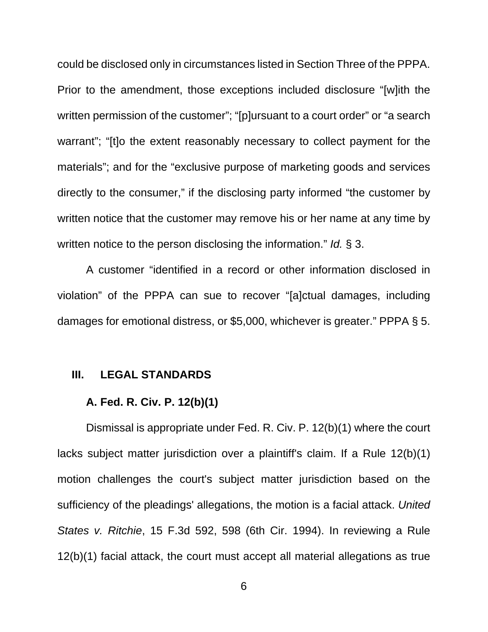could be disclosed only in circumstances listed in Section Three of the PPPA. Prior to the amendment, those exceptions included disclosure "[w]ith the written permission of the customer"; "[p]ursuant to a court order" or "a search warrant"; "[t]o the extent reasonably necessary to collect payment for the materials"; and for the "exclusive purpose of marketing goods and services directly to the consumer," if the disclosing party informed "the customer by written notice that the customer may remove his or her name at any time by written notice to the person disclosing the information." Id. § 3.

A customer "identified in a record or other information disclosed in violation" of the PPPA can sue to recover "[a]ctual damages, including damages for emotional distress, or \$5,000, whichever is greater." PPPA § 5.

### **III. LEGAL STANDARDS**

## **A. Fed. R. Civ. P. 12(b)(1)**

Dismissal is appropriate under Fed. R. Civ. P. 12(b)(1) where the court lacks subject matter jurisdiction over a plaintiff's claim. If a Rule 12(b)(1) motion challenges the court's subject matter jurisdiction based on the sufficiency of the pleadings' allegations, the motion is a facial attack. United States v. Ritchie, 15 F.3d 592, 598 (6th Cir. 1994). In reviewing a Rule 12(b)(1) facial attack, the court must accept all material allegations as true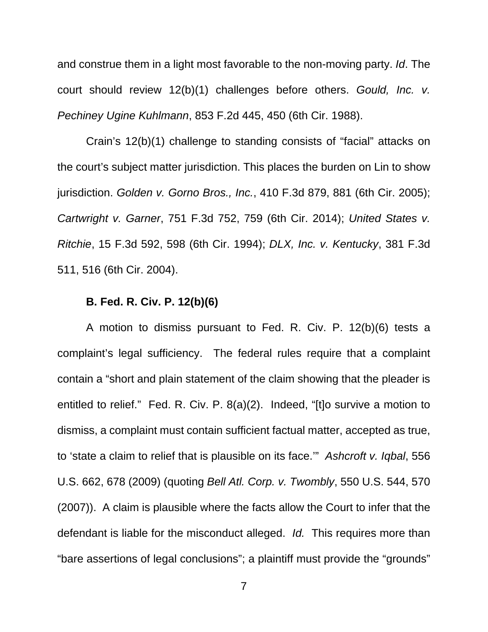and construe them in a light most favorable to the non-moving party. Id. The court should review 12(b)(1) challenges before others. Gould, Inc. v. Pechiney Ugine Kuhlmann, 853 F.2d 445, 450 (6th Cir. 1988).

Crain's 12(b)(1) challenge to standing consists of "facial" attacks on the court's subject matter jurisdiction. This places the burden on Lin to show jurisdiction. Golden v. Gorno Bros., Inc., 410 F.3d 879, 881 (6th Cir. 2005); Cartwright v. Garner, 751 F.3d 752, 759 (6th Cir. 2014); United States v. Ritchie, 15 F.3d 592, 598 (6th Cir. 1994); DLX, Inc. v. Kentucky, 381 F.3d 511, 516 (6th Cir. 2004).

## **B. Fed. R. Civ. P. 12(b)(6)**

A motion to dismiss pursuant to Fed. R. Civ. P. 12(b)(6) tests a complaint's legal sufficiency. The federal rules require that a complaint contain a "short and plain statement of the claim showing that the pleader is entitled to relief." Fed. R. Civ. P. 8(a)(2). Indeed, "[t]o survive a motion to dismiss, a complaint must contain sufficient factual matter, accepted as true, to 'state a claim to relief that is plausible on its face.'" Ashcroft v. Iqbal, 556 U.S. 662, 678 (2009) (quoting Bell Atl. Corp. v. Twombly, 550 U.S. 544, 570 (2007)). A claim is plausible where the facts allow the Court to infer that the defendant is liable for the misconduct alleged. Id. This requires more than "bare assertions of legal conclusions"; a plaintiff must provide the "grounds"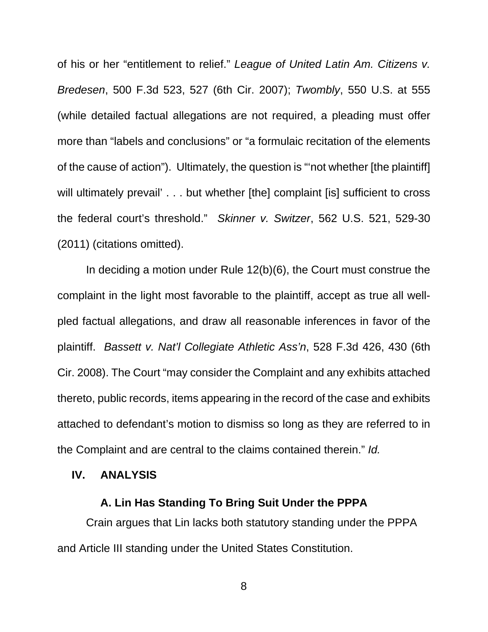of his or her "entitlement to relief." League of United Latin Am. Citizens v. Bredesen, 500 F.3d 523, 527 (6th Cir. 2007); Twombly, 550 U.S. at 555 (while detailed factual allegations are not required, a pleading must offer more than "labels and conclusions" or "a formulaic recitation of the elements of the cause of action"). Ultimately, the question is "'not whether [the plaintiff] will ultimately prevail' . . . but whether [the] complaint [is] sufficient to cross the federal court's threshold." Skinner v. Switzer, 562 U.S. 521, 529-30 (2011) (citations omitted).

In deciding a motion under Rule 12(b)(6), the Court must construe the complaint in the light most favorable to the plaintiff, accept as true all wellpled factual allegations, and draw all reasonable inferences in favor of the plaintiff. Bassett v. Nat'l Collegiate Athletic Ass'n, 528 F.3d 426, 430 (6th Cir. 2008). The Court "may consider the Complaint and any exhibits attached thereto, public records, items appearing in the record of the case and exhibits attached to defendant's motion to dismiss so long as they are referred to in the Complaint and are central to the claims contained therein." Id.

#### **IV. ANALYSIS**

### **A. Lin Has Standing To Bring Suit Under the PPPA**

Crain argues that Lin lacks both statutory standing under the PPPA and Article III standing under the United States Constitution.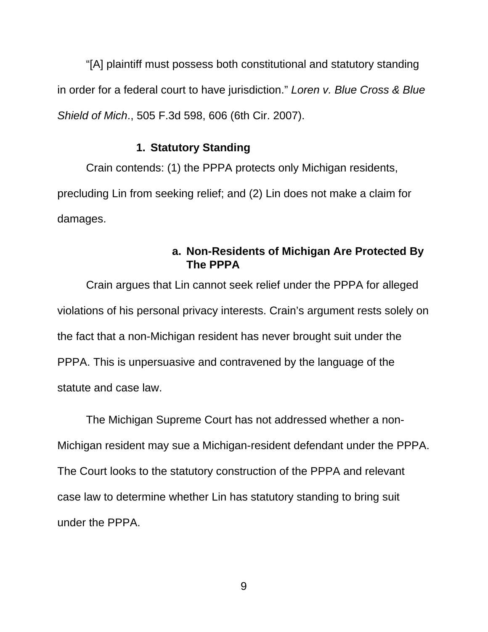"[A] plaintiff must possess both constitutional and statutory standing in order for a federal court to have jurisdiction." Loren v. Blue Cross & Blue Shield of Mich., 505 F.3d 598, 606 (6th Cir. 2007).

## **1. Statutory Standing**

Crain contends: (1) the PPPA protects only Michigan residents, precluding Lin from seeking relief; and (2) Lin does not make a claim for damages.

# **a. Non-Residents of Michigan Are Protected By The PPPA**

Crain argues that Lin cannot seek relief under the PPPA for alleged violations of his personal privacy interests. Crain's argument rests solely on the fact that a non-Michigan resident has never brought suit under the PPPA. This is unpersuasive and contravened by the language of the statute and case law.

The Michigan Supreme Court has not addressed whether a non-Michigan resident may sue a Michigan-resident defendant under the PPPA. The Court looks to the statutory construction of the PPPA and relevant case law to determine whether Lin has statutory standing to bring suit under the PPPA.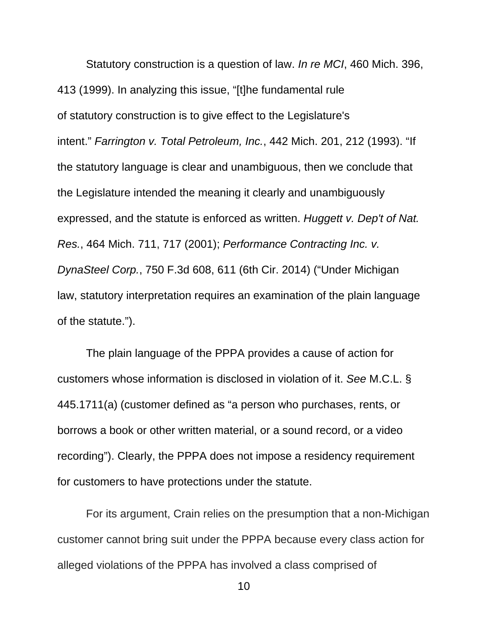Statutory construction is a question of law. In re MCI, 460 Mich. 396, 413 (1999). In analyzing this issue, "[t]he fundamental rule of statutory construction is to give effect to the Legislature's intent." Farrington v. Total Petroleum, Inc., 442 Mich. 201, 212 (1993). "If the statutory language is clear and unambiguous, then we conclude that the Legislature intended the meaning it clearly and unambiguously expressed, and the statute is enforced as written. Huggett v. Dep't of Nat. Res., 464 Mich. 711, 717 (2001); Performance Contracting Inc. v. DynaSteel Corp., 750 F.3d 608, 611 (6th Cir. 2014) ("Under Michigan law, statutory interpretation requires an examination of the plain language of the statute.").

The plain language of the PPPA provides a cause of action for customers whose information is disclosed in violation of it. See M.C.L. § 445.1711(a) (customer defined as "a person who purchases, rents, or borrows a book or other written material, or a sound record, or a video recording"). Clearly, the PPPA does not impose a residency requirement for customers to have protections under the statute.

For its argument, Crain relies on the presumption that a non-Michigan customer cannot bring suit under the PPPA because every class action for alleged violations of the PPPA has involved a class comprised of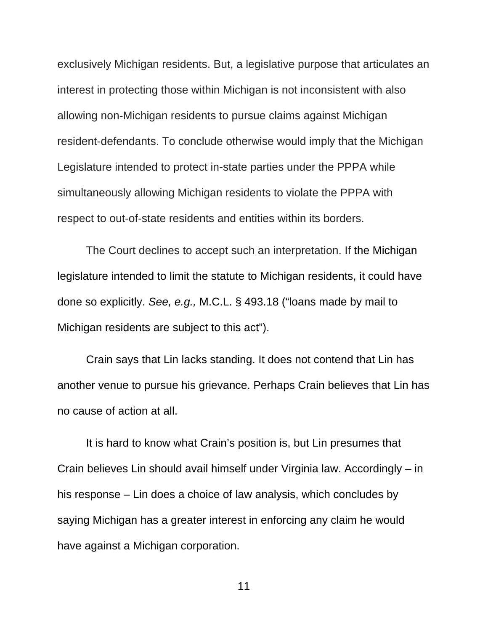exclusively Michigan residents. But, a legislative purpose that articulates an interest in protecting those within Michigan is not inconsistent with also allowing non-Michigan residents to pursue claims against Michigan resident-defendants. To conclude otherwise would imply that the Michigan Legislature intended to protect in-state parties under the PPPA while simultaneously allowing Michigan residents to violate the PPPA with respect to out-of-state residents and entities within its borders.

The Court declines to accept such an interpretation. If the Michigan legislature intended to limit the statute to Michigan residents, it could have done so explicitly. See, e.g., M.C.L. § 493.18 ("loans made by mail to Michigan residents are subject to this act").

Crain says that Lin lacks standing. It does not contend that Lin has another venue to pursue his grievance. Perhaps Crain believes that Lin has no cause of action at all.

It is hard to know what Crain's position is, but Lin presumes that Crain believes Lin should avail himself under Virginia law. Accordingly – in his response – Lin does a choice of law analysis, which concludes by saying Michigan has a greater interest in enforcing any claim he would have against a Michigan corporation.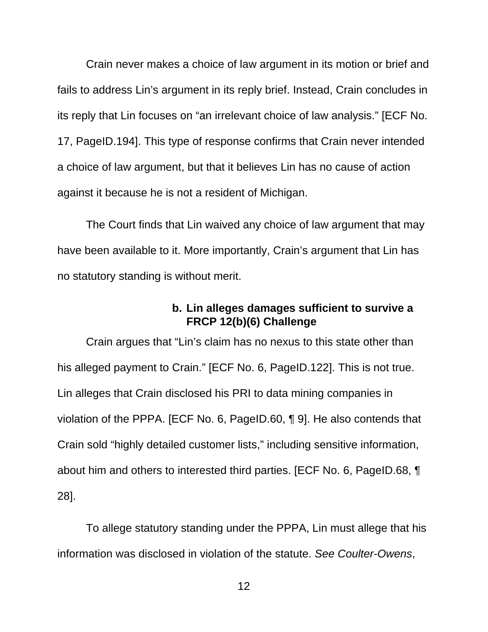Crain never makes a choice of law argument in its motion or brief and fails to address Lin's argument in its reply brief. Instead, Crain concludes in its reply that Lin focuses on "an irrelevant choice of law analysis." [ECF No. 17, PageID.194]. This type of response confirms that Crain never intended a choice of law argument, but that it believes Lin has no cause of action against it because he is not a resident of Michigan.

The Court finds that Lin waived any choice of law argument that may have been available to it. More importantly, Crain's argument that Lin has no statutory standing is without merit.

# **b. Lin alleges damages sufficient to survive a FRCP 12(b)(6) Challenge**

Crain argues that "Lin's claim has no nexus to this state other than his alleged payment to Crain." [ECF No. 6, PageID.122]. This is not true. Lin alleges that Crain disclosed his PRI to data mining companies in violation of the PPPA. [ECF No. 6, PageID.60, ¶ 9]. He also contends that Crain sold "highly detailed customer lists," including sensitive information, about him and others to interested third parties. [ECF No. 6, PageID.68, ¶ 28].

To allege statutory standing under the PPPA, Lin must allege that his information was disclosed in violation of the statute. See Coulter-Owens,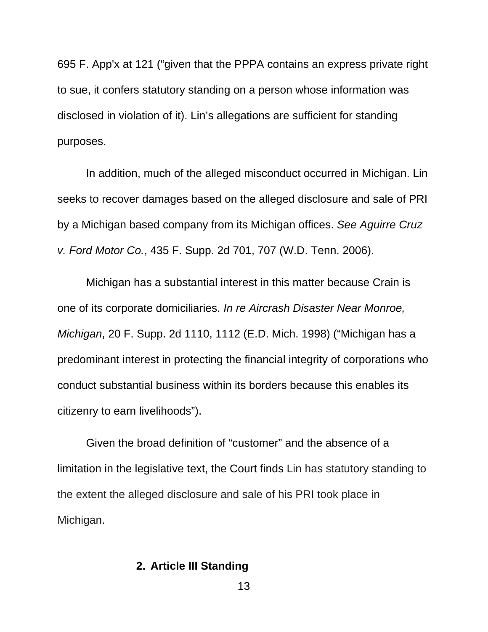695 F. App'x at 121 ("given that the PPPA contains an express private right to sue, it confers statutory standing on a person whose information was disclosed in violation of it). Lin's allegations are sufficient for standing purposes.

In addition, much of the alleged misconduct occurred in Michigan. Lin seeks to recover damages based on the alleged disclosure and sale of PRI by a Michigan based company from its Michigan offices. See Aguirre Cruz v. Ford Motor Co., 435 F. Supp. 2d 701, 707 (W.D. Tenn. 2006).

Michigan has a substantial interest in this matter because Crain is one of its corporate domiciliaries. In re Aircrash Disaster Near Monroe, Michigan, 20 F. Supp. 2d 1110, 1112 (E.D. Mich. 1998) ("Michigan has a predominant interest in protecting the financial integrity of corporations who conduct substantial business within its borders because this enables its citizenry to earn livelihoods").

Given the broad definition of "customer" and the absence of a limitation in the legislative text, the Court finds Lin has statutory standing to the extent the alleged disclosure and sale of his PRI took place in Michigan.

## **2. Article III Standing**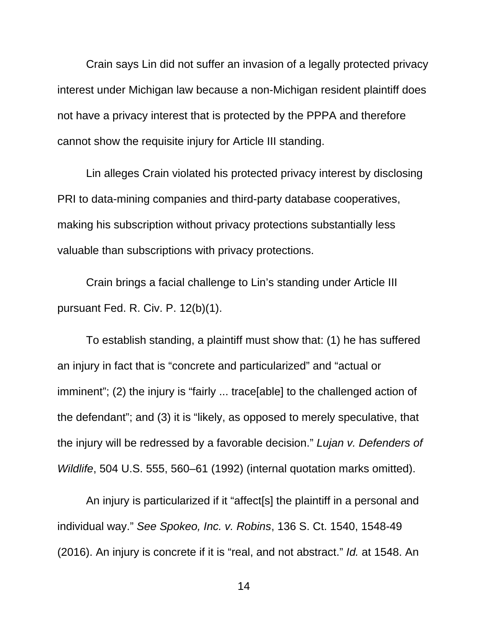Crain says Lin did not suffer an invasion of a legally protected privacy interest under Michigan law because a non-Michigan resident plaintiff does not have a privacy interest that is protected by the PPPA and therefore cannot show the requisite injury for Article III standing.

Lin alleges Crain violated his protected privacy interest by disclosing PRI to data-mining companies and third-party database cooperatives, making his subscription without privacy protections substantially less valuable than subscriptions with privacy protections.

Crain brings a facial challenge to Lin's standing under Article III pursuant Fed. R. Civ. P. 12(b)(1).

To establish standing, a plaintiff must show that: (1) he has suffered an injury in fact that is "concrete and particularized" and "actual or imminent"; (2) the injury is "fairly ... trace[able] to the challenged action of the defendant"; and (3) it is "likely, as opposed to merely speculative, that the injury will be redressed by a favorable decision." Lujan v. Defenders of Wildlife, 504 U.S. 555, 560–61 (1992) (internal quotation marks omitted).

An injury is particularized if it "affect[s] the plaintiff in a personal and individual way." See Spokeo, Inc. v. Robins, 136 S. Ct. 1540, 1548-49 (2016). An injury is concrete if it is "real, and not abstract." Id. at 1548. An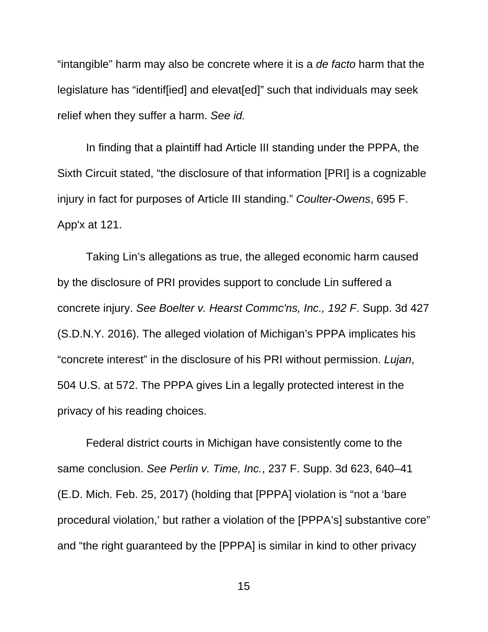"intangible" harm may also be concrete where it is a de facto harm that the legislature has "identif[ied] and elevat[ed]" such that individuals may seek relief when they suffer a harm. See id.

In finding that a plaintiff had Article III standing under the PPPA, the Sixth Circuit stated, "the disclosure of that information [PRI] is a cognizable injury in fact for purposes of Article III standing." Coulter-Owens, 695 F. App'x at 121.

Taking Lin's allegations as true, the alleged economic harm caused by the disclosure of PRI provides support to conclude Lin suffered a concrete injury. See Boelter v. Hearst Commc'ns, Inc., 192 F. Supp. 3d 427 (S.D.N.Y. 2016). The alleged violation of Michigan's PPPA implicates his "concrete interest" in the disclosure of his PRI without permission. Lujan, 504 U.S. at 572. The PPPA gives Lin a legally protected interest in the privacy of his reading choices.

Federal district courts in Michigan have consistently come to the same conclusion. See Perlin v. Time, Inc., 237 F. Supp. 3d 623, 640–41 (E.D. Mich. Feb. 25, 2017) (holding that [PPPA] violation is "not a 'bare procedural violation,' but rather a violation of the [PPPA's] substantive core" and "the right guaranteed by the [PPPA] is similar in kind to other privacy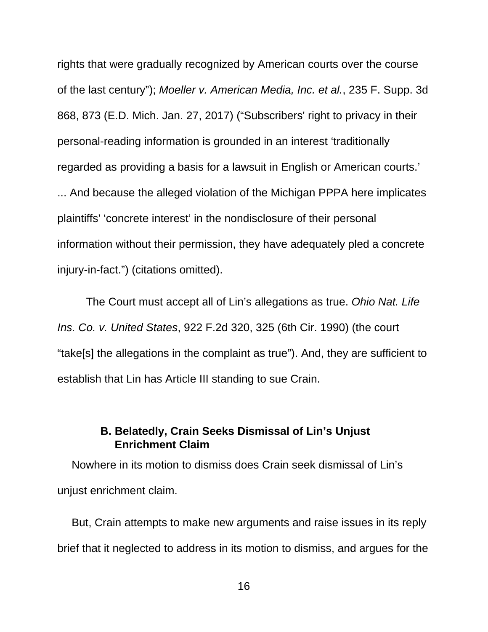rights that were gradually recognized by American courts over the course of the last century"); Moeller v. American Media, Inc. et al., 235 F. Supp. 3d 868, 873 (E.D. Mich. Jan. 27, 2017) ("Subscribers' right to privacy in their personal-reading information is grounded in an interest 'traditionally regarded as providing a basis for a lawsuit in English or American courts.' ... And because the alleged violation of the Michigan PPPA here implicates plaintiffs' 'concrete interest' in the nondisclosure of their personal information without their permission, they have adequately pled a concrete injury-in-fact.") (citations omitted).

The Court must accept all of Lin's allegations as true. Ohio Nat. Life Ins. Co. v. United States, 922 F.2d 320, 325 (6th Cir. 1990) (the court "take[s] the allegations in the complaint as true"). And, they are sufficient to establish that Lin has Article III standing to sue Crain.

# **B. Belatedly, Crain Seeks Dismissal of Lin's Unjust Enrichment Claim**

Nowhere in its motion to dismiss does Crain seek dismissal of Lin's unjust enrichment claim.

But, Crain attempts to make new arguments and raise issues in its reply brief that it neglected to address in its motion to dismiss, and argues for the